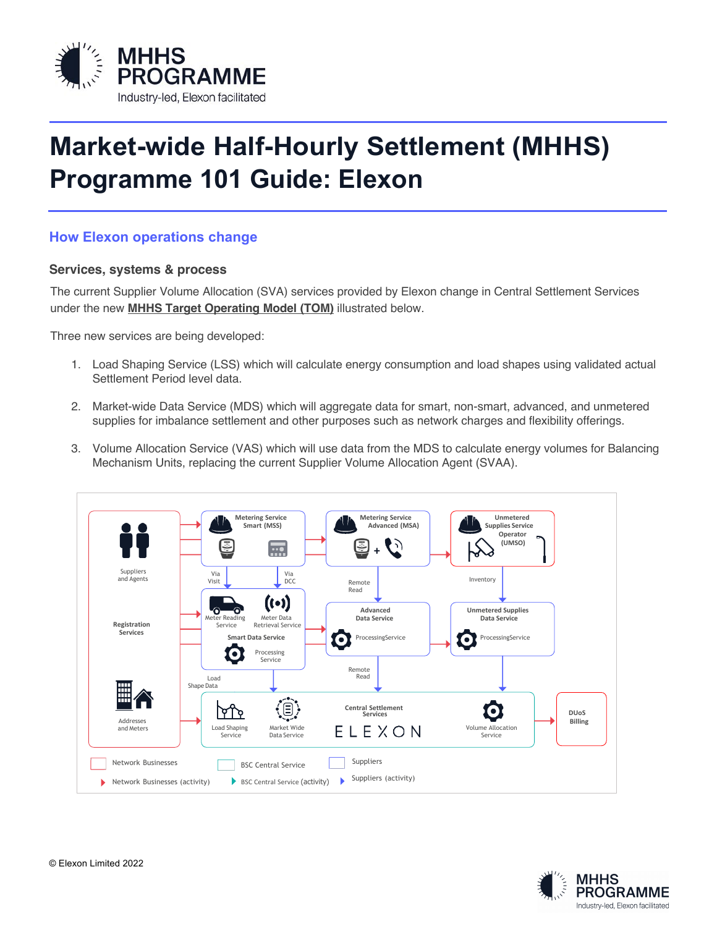

# **Market-wide Half-Hourly Settlement (MHHS) Programme 101 Guide: Elexon**

## **How Elexon operations change**

#### **Services, systems & process**

The current Supplier Volume Allocation (SVA) services provided by Elexon change in Central Settlement Services under the new **MHHS Target Operating Model (TOM)** illustrated below.

Three new services are being developed:

- 1. Load Shaping Service (LSS) which will calculate energy consumption and load shapes using validated actual Settlement Period level data. **Definerity 1** Chod level
- 2. Market-wide Data Service (MDS) which will aggregate data for smart, non-smart, advanced, and unmetered 2.<br>Supplies for imbalance settlement and other purposes such as notwerk charges and floxibility offerings. supplies for imbalance settlement and other purposes such as network charges and flexibility offerings.
	- 3. Volume Allocation Service (VAS) which will use data from the MDS to calculate energy volumes for Balancing Mechanism Units, replacing the current Supplier Volume Allocation Agent (SVAA).